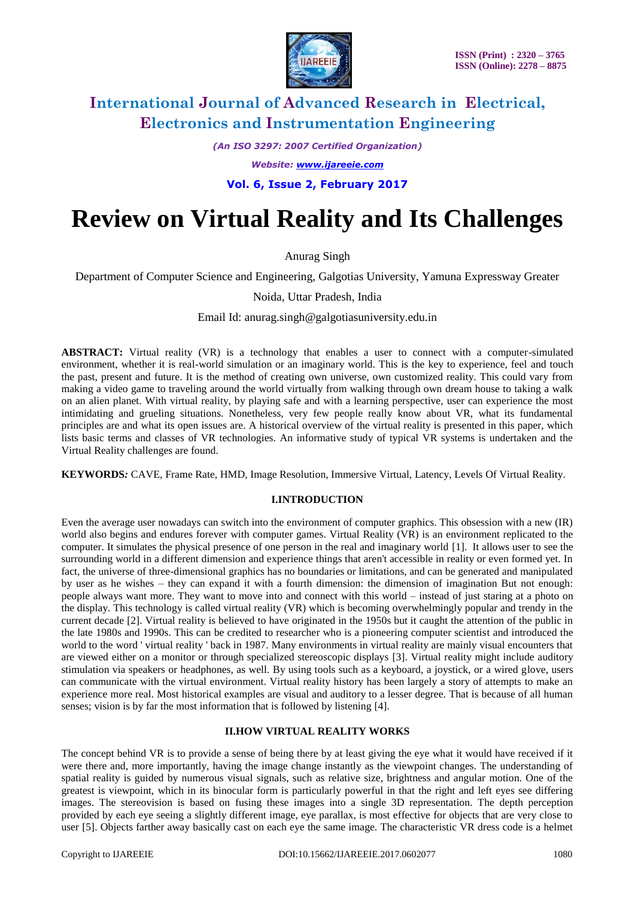

*(An ISO 3297: 2007 Certified Organization)*

*Website: [www.ijareeie.com](http://www.ijareeie.com/)*

**Vol. 6, Issue 2, February 2017**

# **Review on Virtual Reality and Its Challenges**

Anurag Singh

Department of Computer Science and Engineering, Galgotias University, Yamuna Expressway Greater

Noida, Uttar Pradesh, India

Email Id: anurag.singh@galgotiasuniversity.edu.in

**ABSTRACT:** Virtual reality (VR) is a technology that enables a user to connect with a computer-simulated environment, whether it is real-world simulation or an imaginary world. This is the key to experience, feel and touch the past, present and future. It is the method of creating own universe, own customized reality. This could vary from making a video game to traveling around the world virtually from walking through own dream house to taking a walk on an alien planet. With virtual reality, by playing safe and with a learning perspective, user can experience the most intimidating and grueling situations. Nonetheless, very few people really know about VR, what its fundamental principles are and what its open issues are. A historical overview of the virtual reality is presented in this paper, which lists basic terms and classes of VR technologies. An informative study of typical VR systems is undertaken and the Virtual Reality challenges are found.

**KEYWORDS***:* CAVE, Frame Rate, HMD, Image Resolution, Immersive Virtual, Latency, Levels Of Virtual Reality.

#### **I.INTRODUCTION**

Even the average user nowadays can switch into the environment of computer graphics. This obsession with a new (IR) world also begins and endures forever with computer games. Virtual Reality (VR) is an environment replicated to the computer. It simulates the physical presence of one person in the real and imaginary world [1]. It allows user to see the surrounding world in a different dimension and experience things that aren't accessible in reality or even formed yet. In fact, the universe of three-dimensional graphics has no boundaries or limitations, and can be generated and manipulated by user as he wishes – they can expand it with a fourth dimension: the dimension of imagination But not enough: people always want more. They want to move into and connect with this world – instead of just staring at a photo on the display. This technology is called virtual reality (VR) which is becoming overwhelmingly popular and trendy in the current decade [2]. Virtual reality is believed to have originated in the 1950s but it caught the attention of the public in the late 1980s and 1990s. This can be credited to researcher who is a pioneering computer scientist and introduced the world to the word ' virtual reality ' back in 1987. Many environments in virtual reality are mainly visual encounters that are viewed either on a monitor or through specialized stereoscopic displays [3]. Virtual reality might include auditory stimulation via speakers or headphones, as well. By using tools such as a keyboard, a joystick, or a wired glove, users can communicate with the virtual environment. Virtual reality history has been largely a story of attempts to make an experience more real. Most historical examples are visual and auditory to a lesser degree. That is because of all human senses; vision is by far the most information that is followed by listening [4].

### **II.HOW VIRTUAL REALITY WORKS**

The concept behind VR is to provide a sense of being there by at least giving the eye what it would have received if it were there and, more importantly, having the image change instantly as the viewpoint changes. The understanding of spatial reality is guided by numerous visual signals, such as relative size, brightness and angular motion. One of the greatest is viewpoint, which in its binocular form is particularly powerful in that the right and left eyes see differing images. The stereovision is based on fusing these images into a single 3D representation. The depth perception provided by each eye seeing a slightly different image, eye parallax, is most effective for objects that are very close to user [5]. Objects farther away basically cast on each eye the same image. The characteristic VR dress code is a helmet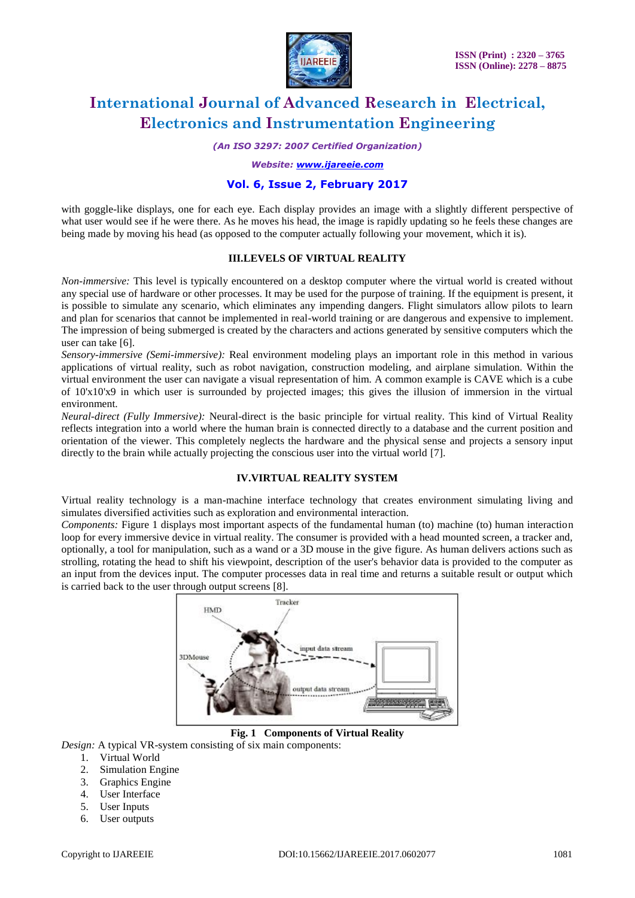

*(An ISO 3297: 2007 Certified Organization)*

*Website: [www.ijareeie.com](http://www.ijareeie.com/)*

### **Vol. 6, Issue 2, February 2017**

with goggle-like displays, one for each eye. Each display provides an image with a slightly different perspective of what user would see if he were there. As he moves his head, the image is rapidly updating so he feels these changes are being made by moving his head (as opposed to the computer actually following your movement, which it is).

#### **III.LEVELS OF VIRTUAL REALITY**

*Non-immersive:* This level is typically encountered on a desktop computer where the virtual world is created without any special use of hardware or other processes. It may be used for the purpose of training. If the equipment is present, it is possible to simulate any scenario, which eliminates any impending dangers. Flight simulators allow pilots to learn and plan for scenarios that cannot be implemented in real-world training or are dangerous and expensive to implement. The impression of being submerged is created by the characters and actions generated by sensitive computers which the user can take [6].

*Sensory-immersive (Semi-immersive):* Real environment modeling plays an important role in this method in various applications of virtual reality, such as robot navigation, construction modeling, and airplane simulation. Within the virtual environment the user can navigate a visual representation of him. A common example is CAVE which is a cube of 10'x10'x9 in which user is surrounded by projected images; this gives the illusion of immersion in the virtual environment.

*Neural-direct (Fully Immersive):* Neural-direct is the basic principle for virtual reality. This kind of Virtual Reality reflects integration into a world where the human brain is connected directly to a database and the current position and orientation of the viewer. This completely neglects the hardware and the physical sense and projects a sensory input directly to the brain while actually projecting the conscious user into the virtual world [7].

### **IV.VIRTUAL REALITY SYSTEM**

Virtual reality technology is a man-machine interface technology that creates environment simulating living and simulates diversified activities such as exploration and environmental interaction.

*Components:* Figure 1 displays most important aspects of the fundamental human (to) machine (to) human interaction loop for every immersive device in virtual reality. The consumer is provided with a head mounted screen, a tracker and, optionally, a tool for manipulation, such as a wand or a 3D mouse in the give figure. As human delivers actions such as strolling, rotating the head to shift his viewpoint, description of the user's behavior data is provided to the computer as an input from the devices input. The computer processes data in real time and returns a suitable result or output which is carried back to the user through output screens [8].



**Fig. 1 Components of Virtual Reality**

- *Design:* A typical VR-system consisting of six main components:
	- 1. Virtual World
	- 2. Simulation Engine
	- 3. Graphics Engine
	- 4. User Interface
	- 5. User Inputs
	- 6. User outputs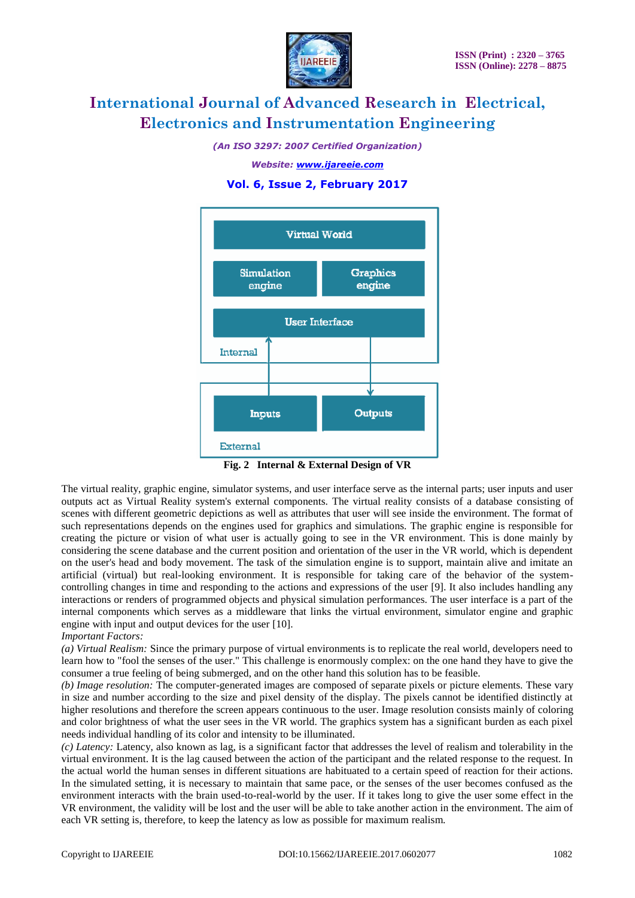

*(An ISO 3297: 2007 Certified Organization)*

*Website: [www.ijareeie.com](http://www.ijareeie.com/)*

### **Vol. 6, Issue 2, February 2017**



**Fig. 2 Internal & External Design of VR**

The virtual reality, graphic engine, simulator systems, and user interface serve as the internal parts; user inputs and user outputs act as Virtual Reality system's external components. The virtual reality consists of a database consisting of scenes with different geometric depictions as well as attributes that user will see inside the environment. The format of such representations depends on the engines used for graphics and simulations. The graphic engine is responsible for creating the picture or vision of what user is actually going to see in the VR environment. This is done mainly by considering the scene database and the current position and orientation of the user in the VR world, which is dependent on the user's head and body movement. The task of the simulation engine is to support, maintain alive and imitate an artificial (virtual) but real-looking environment. It is responsible for taking care of the behavior of the systemcontrolling changes in time and responding to the actions and expressions of the user [9]. It also includes handling any interactions or renders of programmed objects and physical simulation performances. The user interface is a part of the internal components which serves as a middleware that links the virtual environment, simulator engine and graphic engine with input and output devices for the user [10].

#### *Important Factors:*

*(a) Virtual Realism:* Since the primary purpose of virtual environments is to replicate the real world, developers need to learn how to "fool the senses of the user." This challenge is enormously complex: on the one hand they have to give the consumer a true feeling of being submerged, and on the other hand this solution has to be feasible.

*(b) Image resolution:* The computer-generated images are composed of separate pixels or picture elements. These vary in size and number according to the size and pixel density of the display. The pixels cannot be identified distinctly at higher resolutions and therefore the screen appears continuous to the user. Image resolution consists mainly of coloring and color brightness of what the user sees in the VR world. The graphics system has a significant burden as each pixel needs individual handling of its color and intensity to be illuminated.

*(c) Latency:* Latency, also known as lag, is a significant factor that addresses the level of realism and tolerability in the virtual environment. It is the lag caused between the action of the participant and the related response to the request. In the actual world the human senses in different situations are habituated to a certain speed of reaction for their actions. In the simulated setting, it is necessary to maintain that same pace, or the senses of the user becomes confused as the environment interacts with the brain used-to-real-world by the user. If it takes long to give the user some effect in the VR environment, the validity will be lost and the user will be able to take another action in the environment. The aim of each VR setting is, therefore, to keep the latency as low as possible for maximum realism.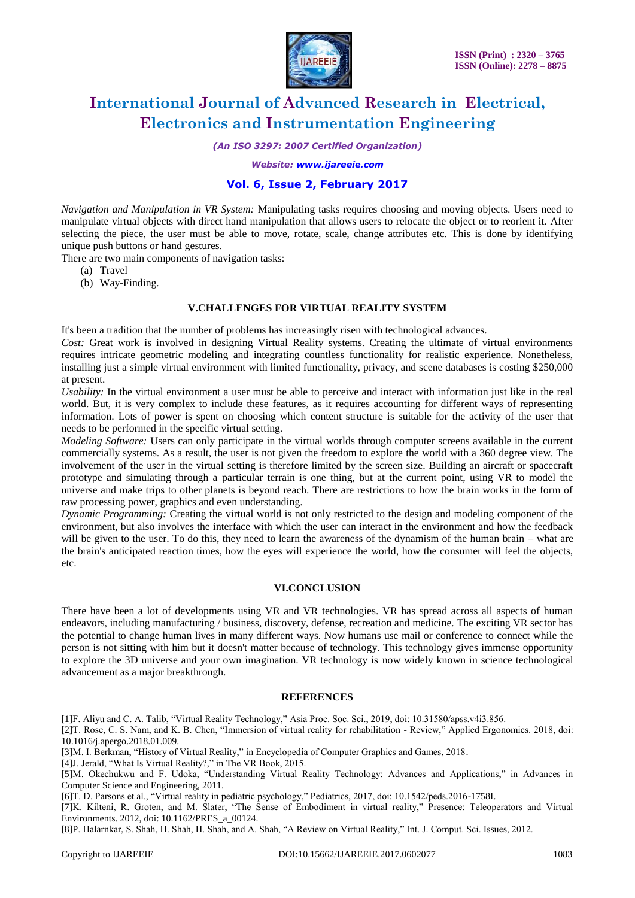

*(An ISO 3297: 2007 Certified Organization)*

*Website: [www.ijareeie.com](http://www.ijareeie.com/)*

## **Vol. 6, Issue 2, February 2017**

*Navigation and Manipulation in VR System:* Manipulating tasks requires choosing and moving objects. Users need to manipulate virtual objects with direct hand manipulation that allows users to relocate the object or to reorient it. After selecting the piece, the user must be able to move, rotate, scale, change attributes etc. This is done by identifying unique push buttons or hand gestures.

There are two main components of navigation tasks:

- (a) Travel
- (b) Way-Finding.

#### **V.CHALLENGES FOR VIRTUAL REALITY SYSTEM**

It's been a tradition that the number of problems has increasingly risen with technological advances.

*Cost:* Great work is involved in designing Virtual Reality systems. Creating the ultimate of virtual environments requires intricate geometric modeling and integrating countless functionality for realistic experience. Nonetheless, installing just a simple virtual environment with limited functionality, privacy, and scene databases is costing \$250,000 at present.

*Usability:* In the virtual environment a user must be able to perceive and interact with information just like in the real world. But, it is very complex to include these features, as it requires accounting for different ways of representing information. Lots of power is spent on choosing which content structure is suitable for the activity of the user that needs to be performed in the specific virtual setting.

*Modeling Software:* Users can only participate in the virtual worlds through computer screens available in the current commercially systems. As a result, the user is not given the freedom to explore the world with a 360 degree view. The involvement of the user in the virtual setting is therefore limited by the screen size. Building an aircraft or spacecraft prototype and simulating through a particular terrain is one thing, but at the current point, using VR to model the universe and make trips to other planets is beyond reach. There are restrictions to how the brain works in the form of raw processing power, graphics and even understanding.

*Dynamic Programming:* Creating the virtual world is not only restricted to the design and modeling component of the environment, but also involves the interface with which the user can interact in the environment and how the feedback will be given to the user. To do this, they need to learn the awareness of the dynamism of the human brain – what are the brain's anticipated reaction times, how the eyes will experience the world, how the consumer will feel the objects, etc.

#### **VI.CONCLUSION**

There have been a lot of developments using VR and VR technologies. VR has spread across all aspects of human endeavors, including manufacturing / business, discovery, defense, recreation and medicine. The exciting VR sector has the potential to change human lives in many different ways. Now humans use mail or conference to connect while the person is not sitting with him but it doesn't matter because of technology. This technology gives immense opportunity to explore the 3D universe and your own imagination. VR technology is now widely known in science technological advancement as a major breakthrough.

#### **REFERENCES**

[1]F. Aliyu and C. A. Talib, "Virtual Reality Technology," Asia Proc. Soc. Sci., 2019, doi: 10.31580/apss.v4i3.856.

[2]T. Rose, C. S. Nam, and K. B. Chen, "Immersion of virtual reality for rehabilitation - Review," Applied Ergonomics. 2018, doi: 10.1016/j.apergo.2018.01.009.

[3]M. I. Berkman, "History of Virtual Reality," in Encyclopedia of Computer Graphics and Games, 2018.

[4]J. Jerald, "What Is Virtual Reality?," in The VR Book, 2015.

[5]M. Okechukwu and F. Udoka, "Understanding Virtual Reality Technology: Advances and Applications," in Advances in Computer Science and Engineering, 2011.

[6]T. D. Parsons et al., "Virtual reality in pediatric psychology," Pediatrics, 2017, doi: 10.1542/peds.2016-1758I.

[7]K. Kilteni, R. Groten, and M. Slater, "The Sense of Embodiment in virtual reality," Presence: Teleoperators and Virtual Environments. 2012, doi: 10.1162/PRES\_a\_00124.

[8]P. Halarnkar, S. Shah, H. Shah, H. Shah, and A. Shah, "A Review on Virtual Reality," Int. J. Comput. Sci. Issues, 2012.